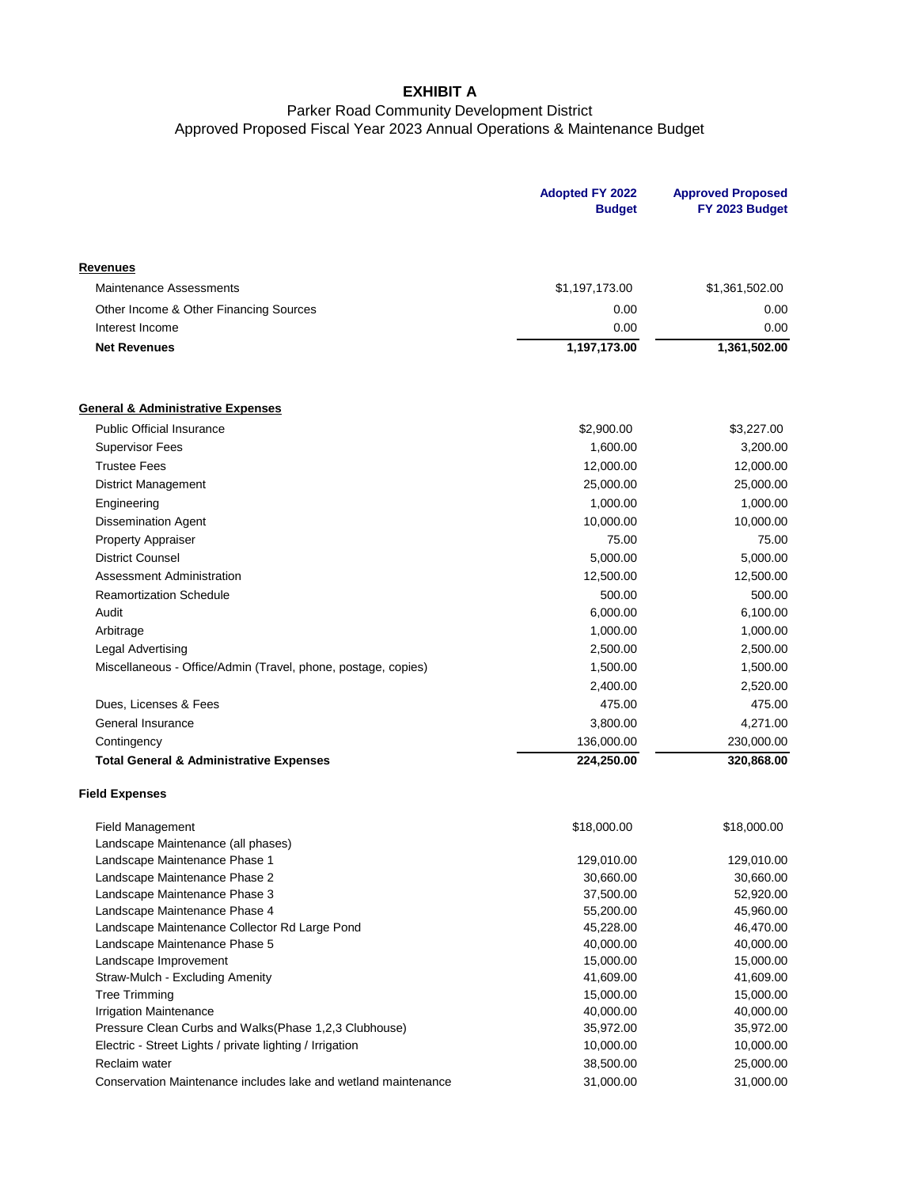## **EXHIBIT A**

## Parker Road Community Development District Approved Proposed Fiscal Year 2023 Annual Operations & Maintenance Budget

|                                                                | <b>Adopted FY 2022</b><br><b>Budget</b> | <b>Approved Proposed</b><br>FY 2023 Budget |
|----------------------------------------------------------------|-----------------------------------------|--------------------------------------------|
| Revenues                                                       |                                         |                                            |
| <b>Maintenance Assessments</b>                                 | \$1,197,173.00                          | \$1,361,502.00                             |
| Other Income & Other Financing Sources                         | 0.00                                    | 0.00                                       |
| Interest Income                                                | 0.00                                    | 0.00                                       |
| <b>Net Revenues</b>                                            | 1,197,173.00                            | 1,361,502.00                               |
| <b>General &amp; Administrative Expenses</b>                   |                                         |                                            |
| <b>Public Official Insurance</b>                               | \$2,900.00                              | \$3,227.00                                 |
| <b>Supervisor Fees</b>                                         | 1,600.00                                | 3,200.00                                   |
| <b>Trustee Fees</b>                                            | 12,000.00                               | 12,000.00                                  |
| <b>District Management</b>                                     | 25,000.00                               | 25,000.00                                  |
| Engineering                                                    | 1,000.00                                | 1,000.00                                   |
| <b>Dissemination Agent</b>                                     | 10,000.00                               | 10,000.00                                  |
| <b>Property Appraiser</b>                                      | 75.00                                   | 75.00                                      |
| <b>District Counsel</b>                                        | 5,000.00                                | 5,000.00                                   |
| Assessment Administration                                      | 12,500.00                               | 12,500.00                                  |
| <b>Reamortization Schedule</b>                                 | 500.00                                  | 500.00                                     |
| Audit                                                          | 6,000.00                                | 6,100.00                                   |
| Arbitrage                                                      | 1,000.00                                | 1,000.00                                   |
| Legal Advertising                                              | 2,500.00                                | 2,500.00                                   |
| Miscellaneous - Office/Admin (Travel, phone, postage, copies)  | 1,500.00                                | 1,500.00                                   |
|                                                                |                                         |                                            |
|                                                                | 2,400.00                                | 2,520.00                                   |
| Dues, Licenses & Fees                                          | 475.00                                  | 475.00                                     |
| General Insurance                                              | 3,800.00                                | 4,271.00                                   |
| Contingency                                                    | 136,000.00                              | 230,000.00                                 |
| <b>Total General &amp; Administrative Expenses</b>             | 224,250.00                              | 320,868.00                                 |
| <b>Field Expenses</b>                                          |                                         |                                            |
| <b>Field Management</b>                                        | \$18,000.00                             | \$18,000.00                                |
| Landscape Maintenance (all phases)                             |                                         |                                            |
| Landscape Maintenance Phase 1                                  | 129,010.00                              | 129,010.00                                 |
| Landscape Maintenance Phase 2                                  | 30,660.00                               | 30,660.00                                  |
| Landscape Maintenance Phase 3                                  | 37,500.00                               | 52,920.00                                  |
| Landscape Maintenance Phase 4                                  | 55,200.00                               | 45,960.00                                  |
| Landscape Maintenance Collector Rd Large Pond                  | 45,228.00                               | 46,470.00                                  |
| Landscape Maintenance Phase 5                                  | 40,000.00                               | 40,000.00                                  |
| Landscape Improvement<br>Straw-Mulch - Excluding Amenity       | 15,000.00<br>41,609.00                  | 15,000.00<br>41,609.00                     |
| <b>Tree Trimming</b>                                           | 15,000.00                               | 15,000.00                                  |
| <b>Irrigation Maintenance</b>                                  | 40,000.00                               | 40,000.00                                  |
| Pressure Clean Curbs and Walks(Phase 1,2,3 Clubhouse)          | 35,972.00                               | 35,972.00                                  |
| Electric - Street Lights / private lighting / Irrigation       | 10,000.00                               | 10,000.00                                  |
| Reclaim water                                                  | 38,500.00                               | 25,000.00                                  |
| Conservation Maintenance includes lake and wetland maintenance | 31,000.00                               | 31,000.00                                  |
|                                                                |                                         |                                            |